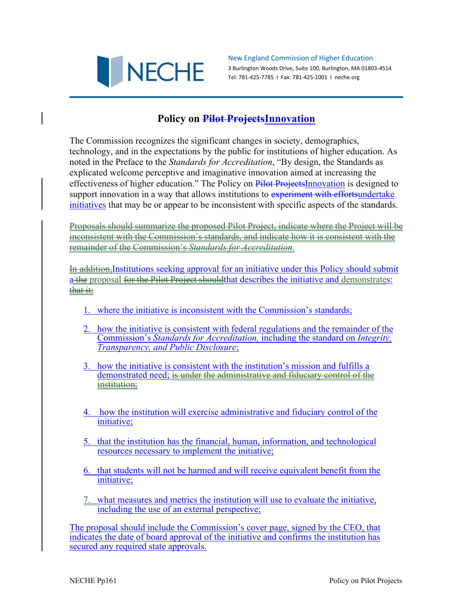

New England Commission of Higher Education 3 Burlington Woods Drive, Suite 100, Burlington, MA 01803-4514 Tel: 781-425-7785 I Fax: 781-425-1001 I neche.org

## **Policy on Pilot ProjectsInnovation**

The Commission recognizes the significant changes in society, demographics, technology, and in the expectations by the public for institutions of higher education. As noted in the Preface to the *Standards for Accreditation*, "By design, the Standards as explicated welcome perceptive and imaginative innovation aimed at increasing the effectiveness of higher education." The Policy on Pilot ProjectsInnovation is designed to support innovation in a way that allows institutions to experiment with effortsundertake initiatives that may be or appear to be inconsistent with specific aspects of the standards.

Proposals should summarize the proposed Pilot Project, indicate where the Project will be inconsistent with the Commission's standards, and indicate how it is consistent with the remainder of the Commission's *Standards for Accreditation*.

In addition,Institutions seeking approval for an initiative under this Policy should submit a the proposal for the Pilot Project should that describes the initiative and demonstrates: that it:

- 1. where the initiative is inconsistent with the Commission's standards;
- 2. how the initiative is consistent with federal regulations and the remainder of the Commission's *Standards for Accreditation,* including the standard on *Integrity, Transparency, and Public Disclosure*;
- 3. how the initiative is consistent with the institution's mission and fulfills a demonstrated need; is under the administrative and fiduciary control of the institution;
- 4. how the institution will exercise administrative and fiduciary control of the initiative;
- 5. that the institution has the financial, human, information, and technological resources necessary to implement the initiative;
- 6. that students will not be harmed and will receive equivalent benefit from the initiative;
- 7. what measures and metrics the institution will use to evaluate the initiative, including the use of an external perspective;

The proposal should include the Commission's cover page, signed by the CEO, that indicates the date of board approval of the initiative and confirms the institution has secured any required state approvals.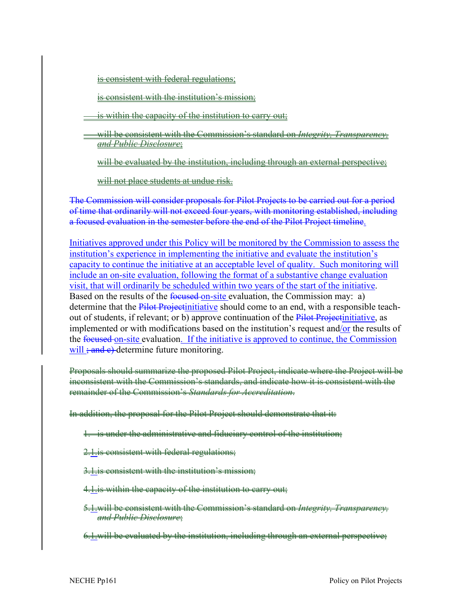is consistent with federal regulations;

is consistent with the institution's mission;

is within the capacity of the institution to carry out:

will be consistent with the Commission's standard on *Integrity, Transparency, and Public Disclosure*;

will be evaluated by the institution, including through an external perspective;

will not place students at undue risk.

The Commission will consider proposals for Pilot Projects to be carried out for a period of time that ordinarily will not exceed four years, with monitoring established, including a focused evaluation in the semester before the end of the Pilot Project timeline.

Initiatives approved under this Policy will be monitored by the Commission to assess the institution's experience in implementing the initiative and evaluate the institution's capacity to continue the initiative at an acceptable level of quality. Such monitoring will include an on-site evaluation, following the format of a substantive change evaluation visit, that will ordinarily be scheduled within two years of the start of the initiative. Based on the results of the focused-on-site evaluation, the Commission may: a) determine that the **Pilot Projectinitiative** should come to an end, with a responsible teachout of students, if relevant; or b) approve continuation of the Pilot Projectinitiative, as implemented or with modifications based on the institution's request and/or the results of the focused on-site evaluation. If the initiative is approved to continue, the Commission will  $\frac{1}{2}$  and e)-determine future monitoring.

Proposals should summarize the proposed Pilot Project, indicate where the Project will be inconsistent with the Commission's standards, and indicate how it is consistent with the remainder of the Commission's *Standards for Accreditation*.

In addition, the proposal for the Pilot Project should demonstrate that it:

- 1. is under the administrative and fiduciary control of the institution;
- 2.1.is consistent with federal regulations;
- 3.1.is consistent with the institution's mission;
- 4.1. is within the capacity of the institution to carry out;
- 5.1.will be consistent with the Commission's standard on *Integrity, Transparency, and Public Disclosure*;
- 6.1.will be evaluated by the institution, including through an external perspective;